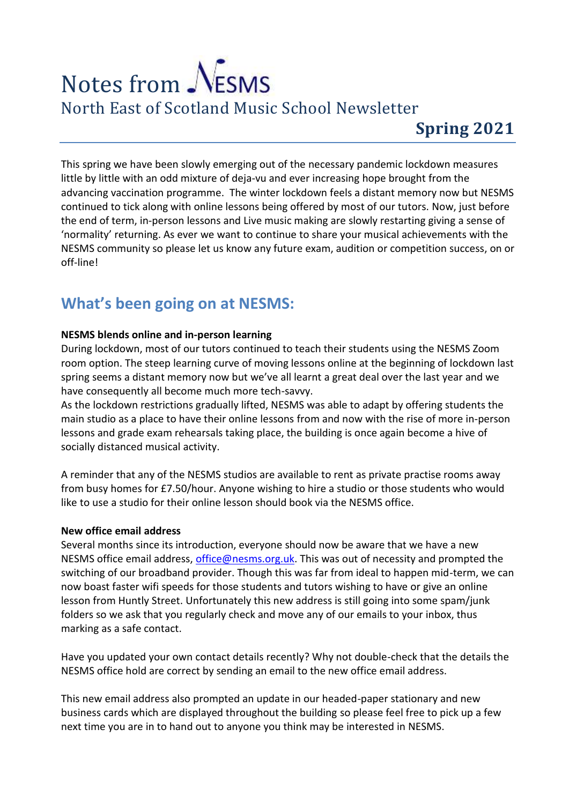# Notes from NESMS North East of Scotland Music School Newsletter

This spring we have been slowly emerging out of the necessary pandemic lockdown measures little by little with an odd mixture of deja-vu and ever increasing hope brought from the advancing vaccination programme. The winter lockdown feels a distant memory now but NESMS continued to tick along with online lessons being offered by most of our tutors. Now, just before the end of term, in-person lessons and Live music making are slowly restarting giving a sense of 'normality' returning. As ever we want to continue to share your musical achievements with the NESMS community so please let us know any future exam, audition or competition success, on or off-line!

# **What's been going on at NESMS:**

## **NESMS blends online and in-person learning**

During lockdown, most of our tutors continued to teach their students using the NESMS Zoom room option. The steep learning curve of moving lessons online at the beginning of lockdown last spring seems a distant memory now but we've all learnt a great deal over the last year and we have consequently all become much more tech-savvy.

As the lockdown restrictions gradually lifted, NESMS was able to adapt by offering students the main studio as a place to have their online lessons from and now with the rise of more in-person lessons and grade exam rehearsals taking place, the building is once again become a hive of socially distanced musical activity.

A reminder that any of the NESMS studios are available to rent as private practise rooms away from busy homes for £7.50/hour. Anyone wishing to hire a studio or those students who would like to use a studio for their online lesson should book via the NESMS office.

## **New office email address**

Several months since its introduction, everyone should now be aware that we have a new NESMS office email address, [office@nesms.org.uk.](mailto:office@nesms.org.uk) This was out of necessity and prompted the switching of our broadband provider. Though this was far from ideal to happen mid-term, we can now boast faster wifi speeds for those students and tutors wishing to have or give an online lesson from Huntly Street. Unfortunately this new address is still going into some spam/junk folders so we ask that you regularly check and move any of our emails to your inbox, thus marking as a safe contact.

Have you updated your own contact details recently? Why not double-check that the details the NESMS office hold are correct by sending an email to the new office email address.

This new email address also prompted an update in our headed-paper stationary and new business cards which are displayed throughout the building so please feel free to pick up a few next time you are in to hand out to anyone you think may be interested in NESMS.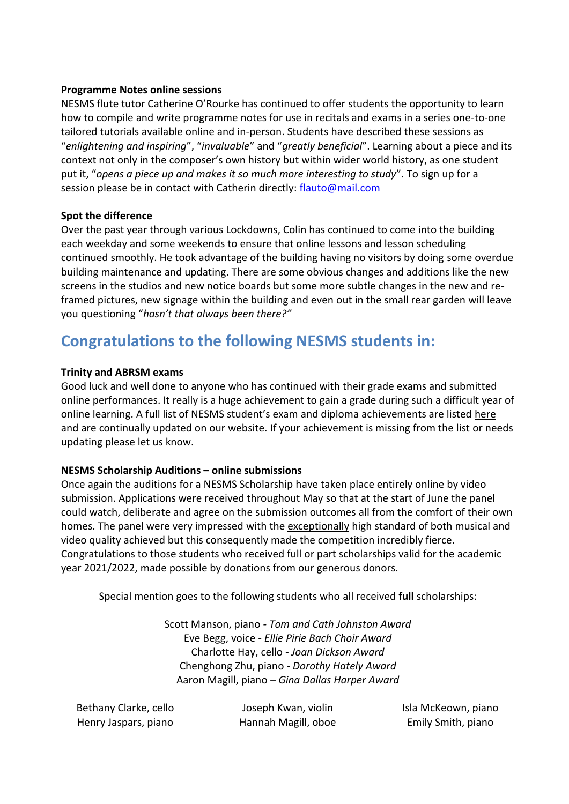#### **Programme Notes online sessions**

NESMS flute tutor Catherine O'Rourke has continued to offer students the opportunity to learn how to compile and write programme notes for use in recitals and exams in a series one-to-one tailored tutorials available online and in-person. Students have described these sessions as "*enlightening and inspiring*", "*invaluable*" and "*greatly beneficial*". Learning about a piece and its context not only in the composer's own history but within wider world history, as one student put it, "*opens a piece up and makes it so much more interesting to study*". To sign up for a session please be in contact with Catherin directly: [flauto@mail.com](mailto:flauto@mail.com)

## **Spot the difference**

Over the past year through various Lockdowns, Colin has continued to come into the building each weekday and some weekends to ensure that online lessons and lesson scheduling continued smoothly. He took advantage of the building having no visitors by doing some overdue building maintenance and updating. There are some obvious changes and additions like the new screens in the studios and new notice boards but some more subtle changes in the new and reframed pictures, new signage within the building and even out in the small rear garden will leave you questioning "*hasn't that always been there?"*

# **Congratulations to the following NESMS students in:**

#### **Trinity and ABRSM exams**

Good luck and well done to anyone who has continued with their grade exams and submitted online performances. It really is a huge achievement to gain a grade during such a difficult year of online learning. A full list of NESMS student's exam and diploma achievements are listed [here](https://www.nesms.org.uk/r8/news2.html) and are continually updated on our website. If your achievement is missing from the list or needs updating please let us know.

## **NESMS Scholarship Auditions – online submissions**

Once again the auditions for a NESMS Scholarship have taken place entirely online by video submission. Applications were received throughout May so that at the start of June the panel could watch, deliberate and agree on the submission outcomes all from the comfort of their own homes. The panel were very impressed with the exceptionally high standard of both musical and video quality achieved but this consequently made the competition incredibly fierce. Congratulations to those students who received full or part scholarships valid for the academic year 2021/2022, made possible by donations from our generous donors.

Special mention goes to the following students who all received **full** scholarships:

Scott Manson, piano *- Tom and Cath Johnston Award* Eve Begg, voice *- Ellie Pirie Bach Choir Award* Charlotte Hay, cello *- Joan Dickson Award* Chenghong Zhu, piano *- Dorothy Hately Award* Aaron Magill, piano *– Gina Dallas Harper Award*

Bethany Clarke, cello Henry Jaspars, piano

Joseph Kwan, violin Hannah Magill, oboe Isla McKeown, piano Emily Smith, piano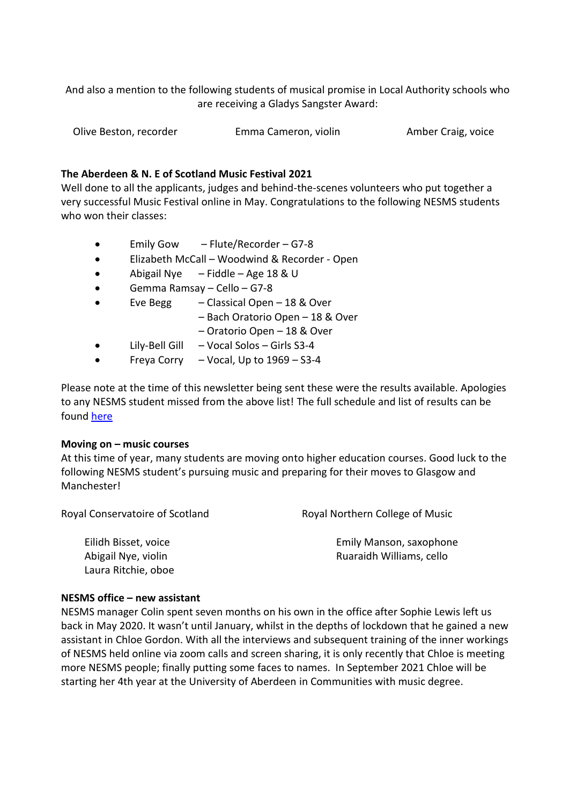And also a mention to the following students of musical promise in Local Authority schools who are receiving a Gladys Sangster Award:

| Olive Beston, recorder | Emma Cameron, violin | Amber Craig, voice |
|------------------------|----------------------|--------------------|
|                        |                      |                    |

#### **The Aberdeen & N. E of Scotland Music Festival 2021**

Well done to all the applicants, judges and behind-the-scenes volunteers who put together a very successful Music Festival online in May. Congratulations to the following NESMS students who won their classes:

- Emily Gow Flute/Recorder G7-8
- Elizabeth McCall Woodwind & Recorder Open
- Abigail Nye Fiddle Age 18 & U
- Gemma Ramsay Cello G7-8
- Eve Begg Classical Open 18 & Over
	- Bach Oratorio Open 18 & Over
	- Oratorio Open 18 & Over
- Lily-Bell Gill Vocal Solos Girls S3-4
- Freya Corry Vocal, Up to 1969 S3-4

Please note at the time of this newsletter being sent these were the results available. Apologies to any NESMS student missed from the above list! The full schedule and list of results can be found [here](https://nespa.scot/pages/timetable)

#### **Moving on – music courses**

At this time of year, many students are moving onto higher education courses. Good luck to the following NESMS student's pursuing music and preparing for their moves to Glasgow and Manchester!

| Royal Conservatoire of Scotland | Royal Northern College of Music |  |
|---------------------------------|---------------------------------|--|
| Eilidh Bisset, voice            | Emily Manson, saxophone         |  |
| Abigail Nye, violin             | Ruaraidh Williams, cello        |  |

#### **NESMS office – new assistant**

Laura Ritchie, oboe

NESMS manager Colin spent seven months on his own in the office after Sophie Lewis left us back in May 2020. It wasn't until January, whilst in the depths of lockdown that he gained a new assistant in Chloe Gordon. With all the interviews and subsequent training of the inner workings of NESMS held online via zoom calls and screen sharing, it is only recently that Chloe is meeting more NESMS people; finally putting some faces to names. In September 2021 Chloe will be starting her 4th year at the University of Aberdeen in Communities with music degree.